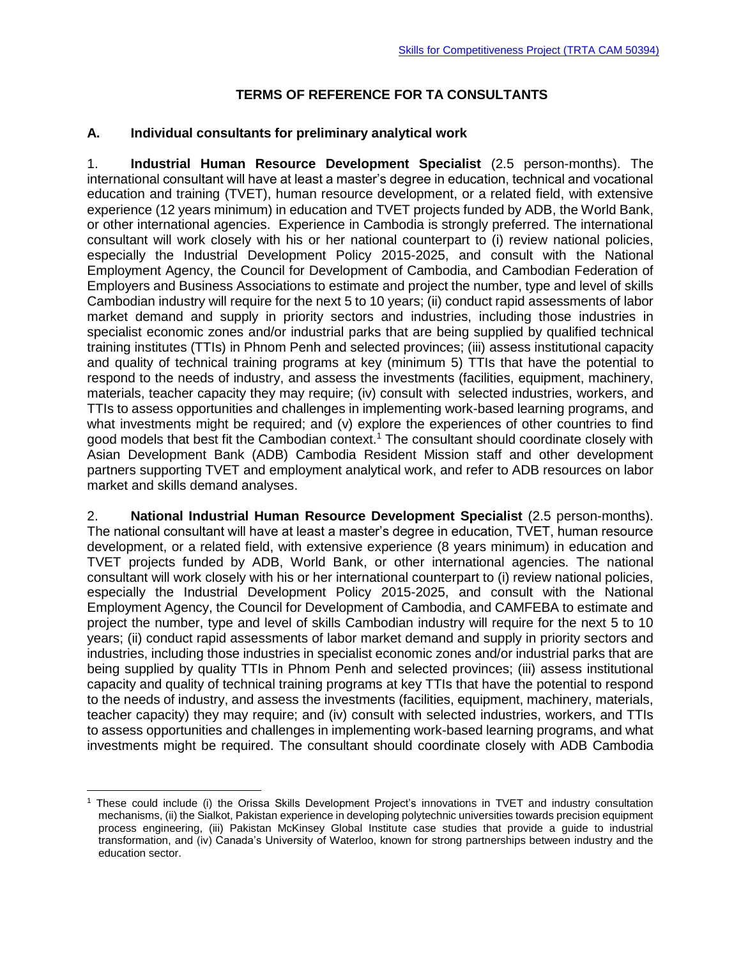### **TERMS OF REFERENCE FOR TA CONSULTANTS**

### **A. Individual consultants for preliminary analytical work**

1. **Industrial Human Resource Development Specialist** (2.5 person-months). The international consultant will have at least a master's degree in education, technical and vocational education and training (TVET), human resource development, or a related field, with extensive experience (12 years minimum) in education and TVET projects funded by ADB, the World Bank, or other international agencies. Experience in Cambodia is strongly preferred. The international consultant will work closely with his or her national counterpart to (i) review national policies, especially the Industrial Development Policy 2015-2025, and consult with the National Employment Agency, the Council for Development of Cambodia, and Cambodian Federation of Employers and Business Associations to estimate and project the number, type and level of skills Cambodian industry will require for the next 5 to 10 years; (ii) conduct rapid assessments of labor market demand and supply in priority sectors and industries, including those industries in specialist economic zones and/or industrial parks that are being supplied by qualified technical training institutes (TTIs) in Phnom Penh and selected provinces; (iii) assess institutional capacity and quality of technical training programs at key (minimum 5) TTIs that have the potential to respond to the needs of industry, and assess the investments (facilities, equipment, machinery, materials, teacher capacity they may require; (iv) consult with selected industries, workers, and TTIs to assess opportunities and challenges in implementing work-based learning programs, and what investments might be required; and (v) explore the experiences of other countries to find good models that best fit the Cambodian context.<sup>1</sup> The consultant should coordinate closely with Asian Development Bank (ADB) Cambodia Resident Mission staff and other development partners supporting TVET and employment analytical work, and refer to ADB resources on labor market and skills demand analyses.

2. **National Industrial Human Resource Development Specialist** (2.5 person-months). The national consultant will have at least a master's degree in education, TVET, human resource development, or a related field, with extensive experience (8 years minimum) in education and TVET projects funded by ADB, World Bank, or other international agencies. The national consultant will work closely with his or her international counterpart to (i) review national policies, especially the Industrial Development Policy 2015-2025, and consult with the National Employment Agency, the Council for Development of Cambodia, and CAMFEBA to estimate and project the number, type and level of skills Cambodian industry will require for the next 5 to 10 years; (ii) conduct rapid assessments of labor market demand and supply in priority sectors and industries, including those industries in specialist economic zones and/or industrial parks that are being supplied by quality TTIs in Phnom Penh and selected provinces; (iii) assess institutional capacity and quality of technical training programs at key TTIs that have the potential to respond to the needs of industry, and assess the investments (facilities, equipment, machinery, materials, teacher capacity) they may require; and (iv) consult with selected industries, workers, and TTIs to assess opportunities and challenges in implementing work-based learning programs, and what investments might be required. The consultant should coordinate closely with ADB Cambodia

<sup>1</sup> These could include (i) the Orissa Skills Development Project's innovations in TVET and industry consultation mechanisms, (ii) the Sialkot, Pakistan experience in developing polytechnic universities towards precision equipment process engineering, (iii) Pakistan McKinsey Global Institute case studies that provide a guide to industrial transformation, and (iv) Canada's University of Waterloo, known for strong partnerships between industry and the education sector.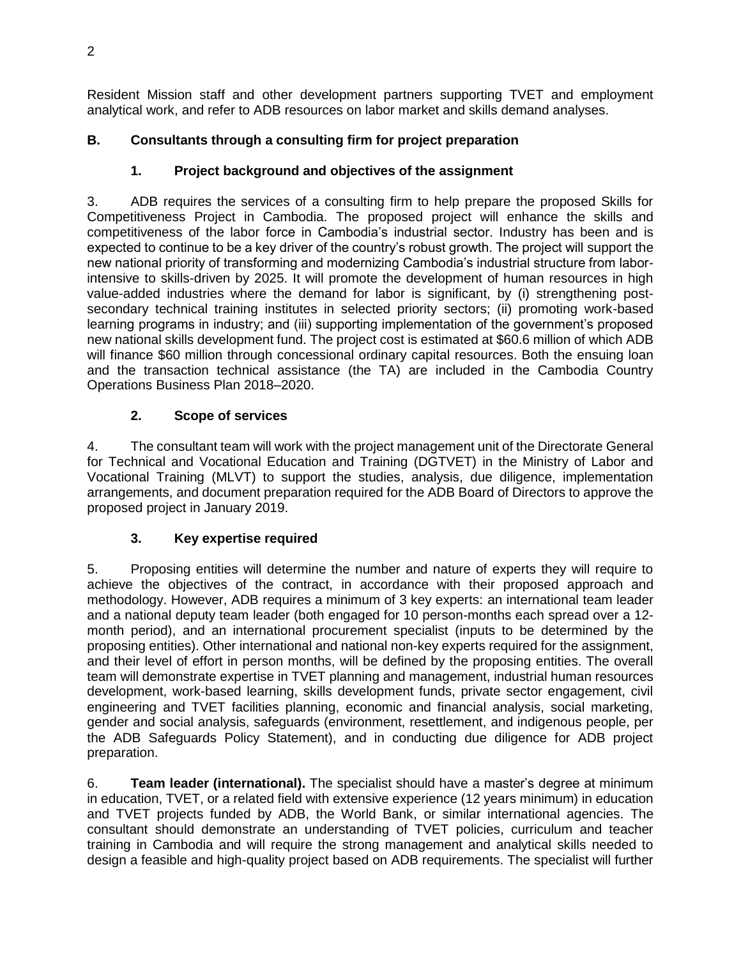Resident Mission staff and other development partners supporting TVET and employment analytical work, and refer to ADB resources on labor market and skills demand analyses.

# **B. Consultants through a consulting firm for project preparation**

# **1. Project background and objectives of the assignment**

3. ADB requires the services of a consulting firm to help prepare the proposed Skills for Competitiveness Project in Cambodia. The proposed project will enhance the skills and competitiveness of the labor force in Cambodia's industrial sector. Industry has been and is expected to continue to be a key driver of the country's robust growth. The project will support the new national priority of transforming and modernizing Cambodia's industrial structure from laborintensive to skills-driven by 2025. It will promote the development of human resources in high value-added industries where the demand for labor is significant, by (i) strengthening postsecondary technical training institutes in selected priority sectors; (ii) promoting work-based learning programs in industry; and (iii) supporting implementation of the government's proposed new national skills development fund. The project cost is estimated at \$60.6 million of which ADB will finance \$60 million through concessional ordinary capital resources. Both the ensuing loan and the transaction technical assistance (the TA) are included in the Cambodia Country Operations Business Plan 2018–2020.

# **2. Scope of services**

4. The consultant team will work with the project management unit of the Directorate General for Technical and Vocational Education and Training (DGTVET) in the Ministry of Labor and Vocational Training (MLVT) to support the studies, analysis, due diligence, implementation arrangements, and document preparation required for the ADB Board of Directors to approve the proposed project in January 2019.

# **3. Key expertise required**

5. Proposing entities will determine the number and nature of experts they will require to achieve the objectives of the contract, in accordance with their proposed approach and methodology. However, ADB requires a minimum of 3 key experts: an international team leader and a national deputy team leader (both engaged for 10 person-months each spread over a 12 month period), and an international procurement specialist (inputs to be determined by the proposing entities). Other international and national non-key experts required for the assignment, and their level of effort in person months, will be defined by the proposing entities. The overall team will demonstrate expertise in TVET planning and management, industrial human resources development, work-based learning, skills development funds, private sector engagement, civil engineering and TVET facilities planning, economic and financial analysis, social marketing, gender and social analysis, safeguards (environment, resettlement, and indigenous people, per the ADB Safeguards Policy Statement), and in conducting due diligence for ADB project preparation.

6. **Team leader (international).** The specialist should have a master's degree at minimum in education, TVET, or a related field with extensive experience (12 years minimum) in education and TVET projects funded by ADB, the World Bank, or similar international agencies. The consultant should demonstrate an understanding of TVET policies, curriculum and teacher training in Cambodia and will require the strong management and analytical skills needed to design a feasible and high-quality project based on ADB requirements. The specialist will further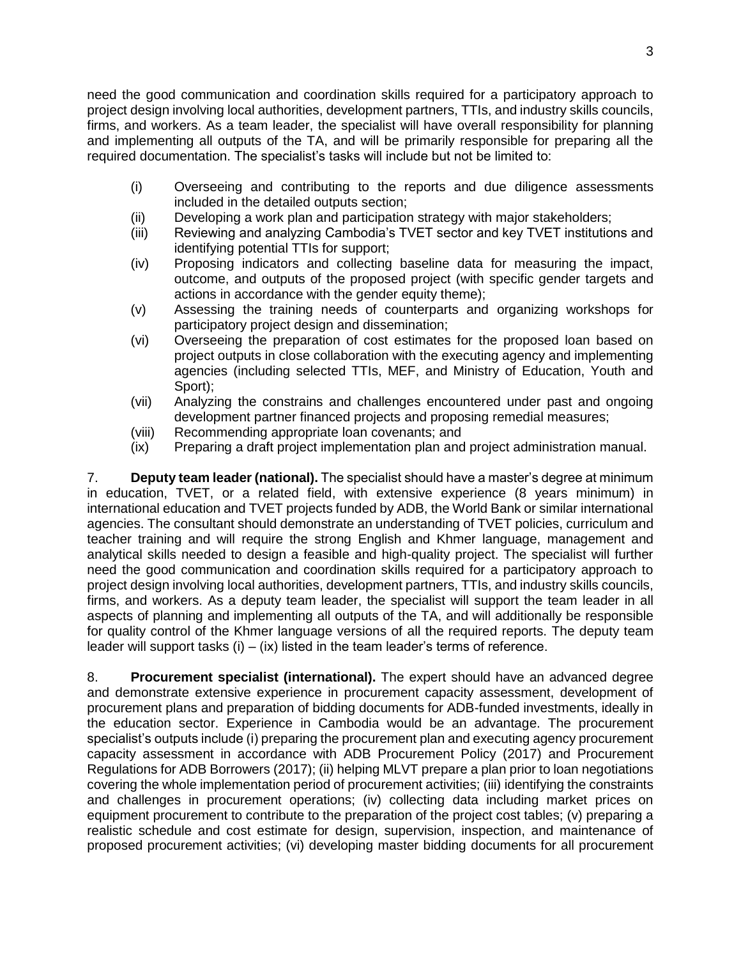need the good communication and coordination skills required for a participatory approach to project design involving local authorities, development partners, TTIs, and industry skills councils, firms, and workers. As a team leader, the specialist will have overall responsibility for planning and implementing all outputs of the TA, and will be primarily responsible for preparing all the required documentation. The specialist's tasks will include but not be limited to:

- (i) Overseeing and contributing to the reports and due diligence assessments included in the detailed outputs section;
- (ii) Developing a work plan and participation strategy with major stakeholders;
- (iii) Reviewing and analyzing Cambodia's TVET sector and key TVET institutions and identifying potential TTIs for support;
- (iv) Proposing indicators and collecting baseline data for measuring the impact, outcome, and outputs of the proposed project (with specific gender targets and actions in accordance with the gender equity theme);
- (v) Assessing the training needs of counterparts and organizing workshops for participatory project design and dissemination;
- (vi) Overseeing the preparation of cost estimates for the proposed loan based on project outputs in close collaboration with the executing agency and implementing agencies (including selected TTIs, MEF, and Ministry of Education, Youth and Sport);
- (vii) Analyzing the constrains and challenges encountered under past and ongoing development partner financed projects and proposing remedial measures;
- (viii) Recommending appropriate loan covenants; and
- (ix) Preparing a draft project implementation plan and project administration manual.

7. **Deputy team leader (national).** The specialist should have a master's degree at minimum in education, TVET, or a related field, with extensive experience (8 years minimum) in international education and TVET projects funded by ADB, the World Bank or similar international agencies. The consultant should demonstrate an understanding of TVET policies, curriculum and teacher training and will require the strong English and Khmer language, management and analytical skills needed to design a feasible and high-quality project. The specialist will further need the good communication and coordination skills required for a participatory approach to project design involving local authorities, development partners, TTIs, and industry skills councils, firms, and workers. As a deputy team leader, the specialist will support the team leader in all aspects of planning and implementing all outputs of the TA, and will additionally be responsible for quality control of the Khmer language versions of all the required reports. The deputy team leader will support tasks  $(i) - (ix)$  listed in the team leader's terms of reference.

8. **Procurement specialist (international).** The expert should have an advanced degree and demonstrate extensive experience in procurement capacity assessment, development of procurement plans and preparation of bidding documents for ADB-funded investments, ideally in the education sector. Experience in Cambodia would be an advantage. The procurement specialist's outputs include (i) preparing the procurement plan and executing agency procurement capacity assessment in accordance with ADB Procurement Policy (2017) and Procurement Regulations for ADB Borrowers (2017); (ii) helping MLVT prepare a plan prior to loan negotiations covering the whole implementation period of procurement activities; (iii) identifying the constraints and challenges in procurement operations; (iv) collecting data including market prices on equipment procurement to contribute to the preparation of the project cost tables; (v) preparing a realistic schedule and cost estimate for design, supervision, inspection, and maintenance of proposed procurement activities; (vi) developing master bidding documents for all procurement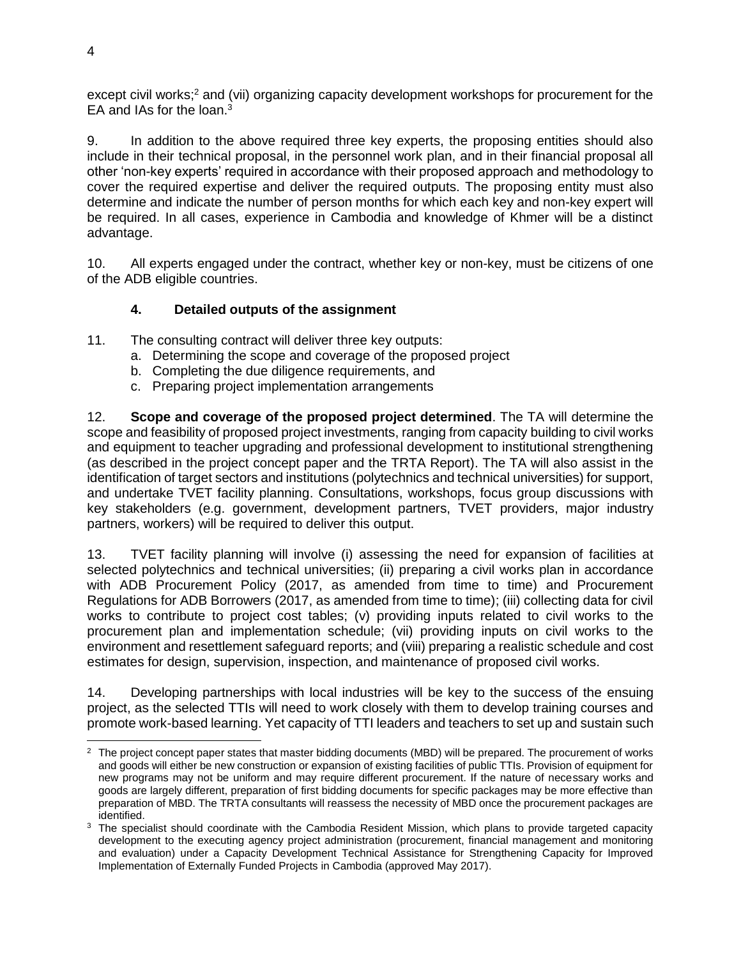except civil works;<sup>2</sup> and (vii) organizing capacity development workshops for procurement for the EA and IAs for the loan.<sup>3</sup>

9. In addition to the above required three key experts, the proposing entities should also include in their technical proposal, in the personnel work plan, and in their financial proposal all other 'non-key experts' required in accordance with their proposed approach and methodology to cover the required expertise and deliver the required outputs. The proposing entity must also determine and indicate the number of person months for which each key and non-key expert will be required. In all cases, experience in Cambodia and knowledge of Khmer will be a distinct advantage.

10. All experts engaged under the contract, whether key or non-key, must be citizens of one of the ADB eligible countries.

#### **4. Detailed outputs of the assignment**

- 11. The consulting contract will deliver three key outputs:
	- a. Determining the scope and coverage of the proposed project
	- b. Completing the due diligence requirements, and
	- c. Preparing project implementation arrangements

12. **Scope and coverage of the proposed project determined**. The TA will determine the scope and feasibility of proposed project investments, ranging from capacity building to civil works and equipment to teacher upgrading and professional development to institutional strengthening (as described in the project concept paper and the TRTA Report). The TA will also assist in the identification of target sectors and institutions (polytechnics and technical universities) for support, and undertake TVET facility planning. Consultations, workshops, focus group discussions with key stakeholders (e.g. government, development partners, TVET providers, major industry partners, workers) will be required to deliver this output.

13. TVET facility planning will involve (i) assessing the need for expansion of facilities at selected polytechnics and technical universities; (ii) preparing a civil works plan in accordance with ADB Procurement Policy (2017, as amended from time to time) and Procurement Regulations for ADB Borrowers (2017, as amended from time to time); (iii) collecting data for civil works to contribute to project cost tables; (v) providing inputs related to civil works to the procurement plan and implementation schedule; (vii) providing inputs on civil works to the environment and resettlement safeguard reports; and (viii) preparing a realistic schedule and cost estimates for design, supervision, inspection, and maintenance of proposed civil works.

14. Developing partnerships with local industries will be key to the success of the ensuing project, as the selected TTIs will need to work closely with them to develop training courses and promote work-based learning. Yet capacity of TTI leaders and teachers to set up and sustain such

 <sup>2</sup> The project concept paper states that master bidding documents (MBD) will be prepared. The procurement of works and goods will either be new construction or expansion of existing facilities of public TTIs. Provision of equipment for new programs may not be uniform and may require different procurement. If the nature of necessary works and goods are largely different, preparation of first bidding documents for specific packages may be more effective than preparation of MBD. The TRTA consultants will reassess the necessity of MBD once the procurement packages are identified.

<sup>&</sup>lt;sup>3</sup> The specialist should coordinate with the Cambodia Resident Mission, which plans to provide targeted capacity development to the executing agency project administration (procurement, financial management and monitoring and evaluation) under a Capacity Development Technical Assistance for Strengthening Capacity for Improved Implementation of Externally Funded Projects in Cambodia (approved May 2017).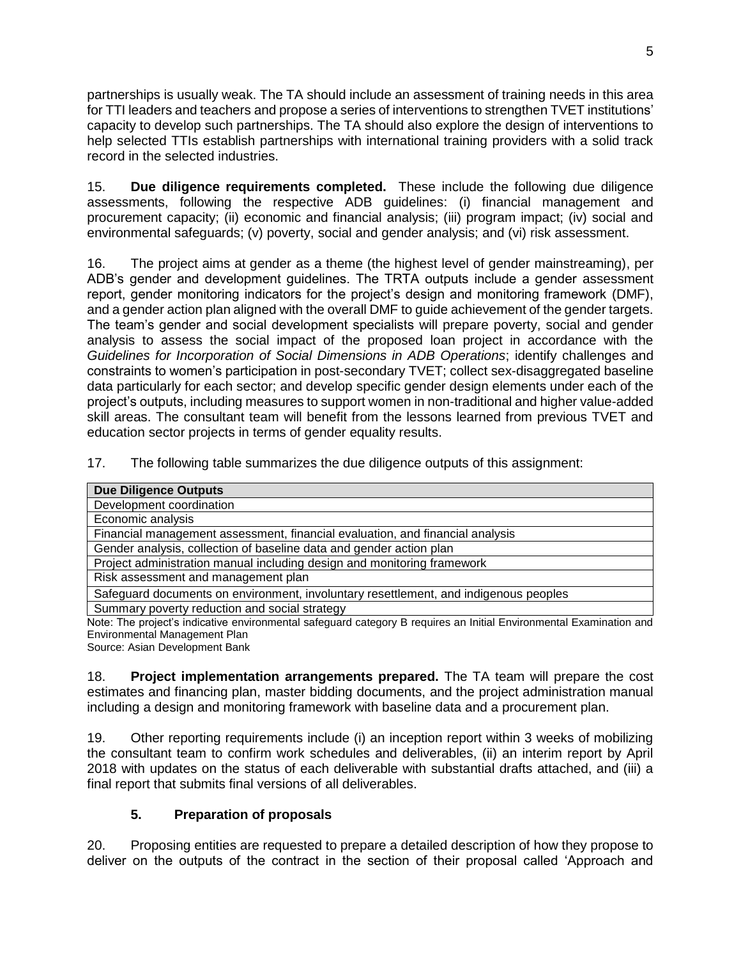partnerships is usually weak. The TA should include an assessment of training needs in this area for TTI leaders and teachers and propose a series of interventions to strengthen TVET institutions' capacity to develop such partnerships. The TA should also explore the design of interventions to help selected TTIs establish partnerships with international training providers with a solid track record in the selected industries.

15. **Due diligence requirements completed.** These include the following due diligence assessments, following the respective ADB guidelines: (i) financial management and procurement capacity; (ii) economic and financial analysis; (iii) program impact; (iv) social and environmental safeguards; (v) poverty, social and gender analysis; and (vi) risk assessment.

16. The project aims at gender as a theme (the highest level of gender mainstreaming), per ADB's gender and development guidelines. The TRTA outputs include a gender assessment report, gender monitoring indicators for the project's design and monitoring framework (DMF), and a gender action plan aligned with the overall DMF to guide achievement of the gender targets. The team's gender and social development specialists will prepare poverty, social and gender analysis to assess the social impact of the proposed loan project in accordance with the *Guidelines for Incorporation of Social Dimensions in ADB Operations*; identify challenges and constraints to women's participation in post-secondary TVET; collect sex-disaggregated baseline data particularly for each sector; and develop specific gender design elements under each of the project's outputs, including measures to support women in non-traditional and higher value-added skill areas. The consultant team will benefit from the lessons learned from previous TVET and education sector projects in terms of gender equality results.

17. The following table summarizes the due diligence outputs of this assignment:

| <b>Due Diligence Outputs</b>                                                                                        |
|---------------------------------------------------------------------------------------------------------------------|
| Development coordination                                                                                            |
| Economic analysis                                                                                                   |
| Financial management assessment, financial evaluation, and financial analysis                                       |
| Gender analysis, collection of baseline data and gender action plan                                                 |
| Project administration manual including design and monitoring framework                                             |
| Risk assessment and management plan                                                                                 |
| Safeguard documents on environment, involuntary resettlement, and indigenous peoples                                |
| Summary poverty reduction and social strategy                                                                       |
| Note: The project's indicative environmental safeguard category B requires an Initial Environmental Examination and |

t's indicative environmental safeguard category B requires an Initial Environmental Examination and Environmental Management Plan

Source: Asian Development Bank

18. **Project implementation arrangements prepared.** The TA team will prepare the cost estimates and financing plan, master bidding documents, and the project administration manual including a design and monitoring framework with baseline data and a procurement plan.

19. Other reporting requirements include (i) an inception report within 3 weeks of mobilizing the consultant team to confirm work schedules and deliverables, (ii) an interim report by April 2018 with updates on the status of each deliverable with substantial drafts attached, and (iii) a final report that submits final versions of all deliverables.

### **5. Preparation of proposals**

20. Proposing entities are requested to prepare a detailed description of how they propose to deliver on the outputs of the contract in the section of their proposal called 'Approach and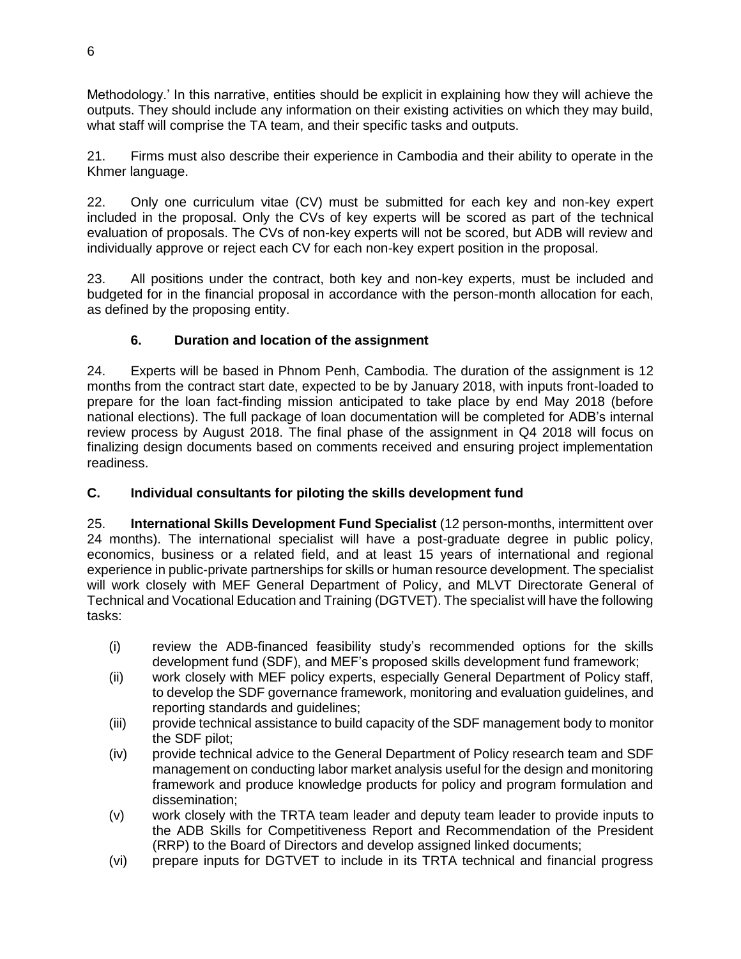Methodology.' In this narrative, entities should be explicit in explaining how they will achieve the outputs. They should include any information on their existing activities on which they may build, what staff will comprise the TA team, and their specific tasks and outputs.

21. Firms must also describe their experience in Cambodia and their ability to operate in the Khmer language.

22. Only one curriculum vitae (CV) must be submitted for each key and non-key expert included in the proposal. Only the CVs of key experts will be scored as part of the technical evaluation of proposals. The CVs of non-key experts will not be scored, but ADB will review and individually approve or reject each CV for each non-key expert position in the proposal.

23. All positions under the contract, both key and non-key experts, must be included and budgeted for in the financial proposal in accordance with the person-month allocation for each, as defined by the proposing entity.

### **6. Duration and location of the assignment**

24. Experts will be based in Phnom Penh, Cambodia. The duration of the assignment is 12 months from the contract start date, expected to be by January 2018, with inputs front-loaded to prepare for the loan fact-finding mission anticipated to take place by end May 2018 (before national elections). The full package of loan documentation will be completed for ADB's internal review process by August 2018. The final phase of the assignment in Q4 2018 will focus on finalizing design documents based on comments received and ensuring project implementation readiness.

## **C. Individual consultants for piloting the skills development fund**

25. **International Skills Development Fund Specialist** (12 person-months, intermittent over 24 months). The international specialist will have a post-graduate degree in public policy, economics, business or a related field, and at least 15 years of international and regional experience in public-private partnerships for skills or human resource development. The specialist will work closely with MEF General Department of Policy, and MLVT Directorate General of Technical and Vocational Education and Training (DGTVET). The specialist will have the following tasks:

- (i) review the ADB-financed feasibility study's recommended options for the skills development fund (SDF), and MEF's proposed skills development fund framework;
- (ii) work closely with MEF policy experts, especially General Department of Policy staff, to develop the SDF governance framework, monitoring and evaluation guidelines, and reporting standards and guidelines;
- (iii) provide technical assistance to build capacity of the SDF management body to monitor the SDF pilot;
- (iv) provide technical advice to the General Department of Policy research team and SDF management on conducting labor market analysis useful for the design and monitoring framework and produce knowledge products for policy and program formulation and dissemination;
- (v) work closely with the TRTA team leader and deputy team leader to provide inputs to the ADB Skills for Competitiveness Report and Recommendation of the President (RRP) to the Board of Directors and develop assigned linked documents;
- (vi) prepare inputs for DGTVET to include in its TRTA technical and financial progress